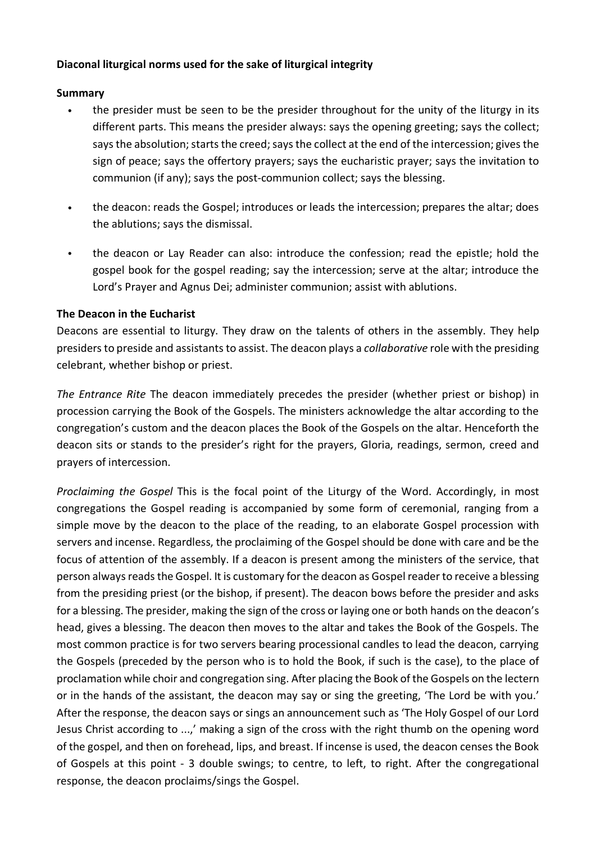## **Diaconal liturgical norms used for the sake of liturgical integrity**

## **Summary**

- the presider must be seen to be the presider throughout for the unity of the liturgy in its different parts. This means the presider always: says the opening greeting; says the collect; says the absolution; starts the creed; says the collect at the end of the intercession; gives the sign of peace; says the offertory prayers; says the eucharistic prayer; says the invitation to communion (if any); says the post-communion collect; says the blessing.
- the deacon: reads the Gospel; introduces or leads the intercession; prepares the altar; does the ablutions; says the dismissal.
- the deacon or Lay Reader can also: introduce the confession; read the epistle; hold the gospel book for the gospel reading; say the intercession; serve at the altar; introduce the Lord's Prayer and Agnus Dei; administer communion; assist with ablutions.

## **The Deacon in the Eucharist**

Deacons are essential to liturgy. They draw on the talents of others in the assembly. They help presidersto preside and assistants to assist. The deacon plays a *collaborative* role with the presiding celebrant, whether bishop or priest.

*The Entrance Rite* The deacon immediately precedes the presider (whether priest or bishop) in procession carrying the Book of the Gospels. The ministers acknowledge the altar according to the congregation's custom and the deacon places the Book of the Gospels on the altar. Henceforth the deacon sits or stands to the presider's right for the prayers, Gloria, readings, sermon, creed and prayers of intercession.

*Proclaiming the Gospel* This is the focal point of the Liturgy of the Word. Accordingly, in most congregations the Gospel reading is accompanied by some form of ceremonial, ranging from a simple move by the deacon to the place of the reading, to an elaborate Gospel procession with servers and incense. Regardless, the proclaiming of the Gospel should be done with care and be the focus of attention of the assembly. If a deacon is present among the ministers of the service, that person always reads the Gospel. It is customary for the deacon as Gospel reader to receive a blessing from the presiding priest (or the bishop, if present). The deacon bows before the presider and asks for a blessing. The presider, making the sign of the cross or laying one or both hands on the deacon's head, gives a blessing. The deacon then moves to the altar and takes the Book of the Gospels. The most common practice is for two servers bearing processional candles to lead the deacon, carrying the Gospels (preceded by the person who is to hold the Book, if such is the case), to the place of proclamation while choir and congregation sing. After placing the Book of the Gospels on the lectern or in the hands of the assistant, the deacon may say or sing the greeting, 'The Lord be with you.' After the response, the deacon says or sings an announcement such as 'The Holy Gospel of our Lord Jesus Christ according to ...,' making a sign of the cross with the right thumb on the opening word of the gospel, and then on forehead, lips, and breast. If incense is used, the deacon censes the Book of Gospels at this point - 3 double swings; to centre, to left, to right. After the congregational response, the deacon proclaims/sings the Gospel.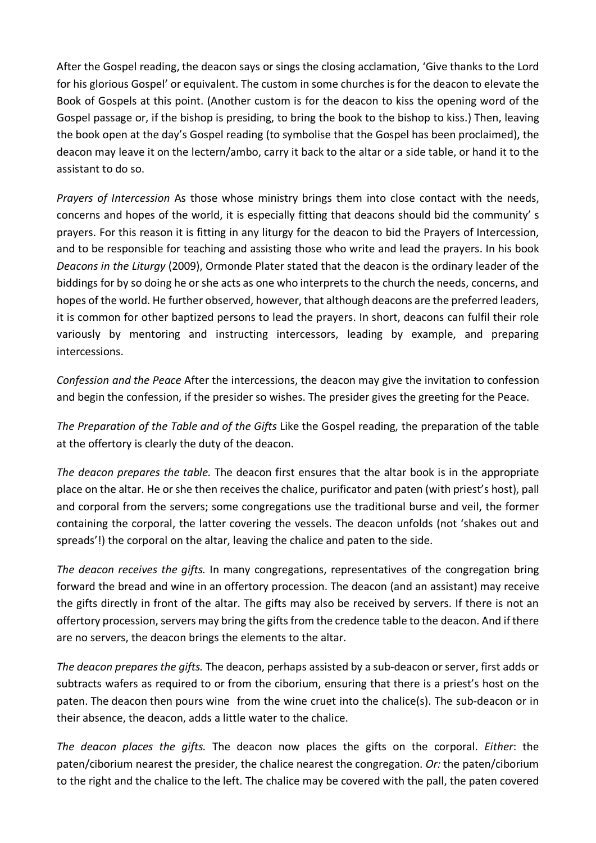After the Gospel reading, the deacon says or sings the closing acclamation, 'Give thanks to the Lord for his glorious Gospel' or equivalent. The custom in some churches is for the deacon to elevate the Book of Gospels at this point. (Another custom is for the deacon to kiss the opening word of the Gospel passage or, if the bishop is presiding, to bring the book to the bishop to kiss.) Then, leaving the book open at the day's Gospel reading (to symbolise that the Gospel has been proclaimed), the deacon may leave it on the lectern/ambo, carry it back to the altar or a side table, or hand it to the assistant to do so.

*Prayers of Intercession* As those whose ministry brings them into close contact with the needs, concerns and hopes of the world, it is especially fitting that deacons should bid the community' s prayers. For this reason it is fitting in any liturgy for the deacon to bid the Prayers of Intercession, and to be responsible for teaching and assisting those who write and lead the prayers. In his book *Deacons in the Liturgy* (2009), Ormonde Plater stated that the deacon is the ordinary leader of the biddings for by so doing he or she acts as one who interprets to the church the needs, concerns, and hopes of the world. He further observed, however, that although deacons are the preferred leaders, it is common for other baptized persons to lead the prayers. In short, deacons can fulfil their role variously by mentoring and instructing intercessors, leading by example, and preparing intercessions.

*Confession and the Peace* After the intercessions, the deacon may give the invitation to confession and begin the confession, if the presider so wishes. The presider gives the greeting for the Peace.

*The Preparation of the Table and of the Gifts* Like the Gospel reading, the preparation of the table at the offertory is clearly the duty of the deacon.

*The deacon prepares the table.* The deacon first ensures that the altar book is in the appropriate place on the altar. He orshe then receives the chalice, purificator and paten (with priest's host), pall and corporal from the servers; some congregations use the traditional burse and veil, the former containing the corporal, the latter covering the vessels. The deacon unfolds (not 'shakes out and spreads'!) the corporal on the altar, leaving the chalice and paten to the side.

*The deacon receives the gifts.* In many congregations, representatives of the congregation bring forward the bread and wine in an offertory procession. The deacon (and an assistant) may receive the gifts directly in front of the altar. The gifts may also be received by servers. If there is not an offertory procession, servers may bring the gifts from the credence table to the deacon. And if there are no servers, the deacon brings the elements to the altar.

*The deacon prepares the gifts.* The deacon, perhaps assisted by a sub-deacon orserver, first adds or subtracts wafers as required to or from the ciborium, ensuring that there is a priest's host on the paten. The deacon then pours wine from the wine cruet into the chalice(s). The sub-deacon or in their absence, the deacon, adds a little water to the chalice.

*The deacon places the gifts.* The deacon now places the gifts on the corporal. *Either*: the paten/ciborium nearest the presider, the chalice nearest the congregation. *Or:* the paten/ciborium to the right and the chalice to the left. The chalice may be covered with the pall, the paten covered